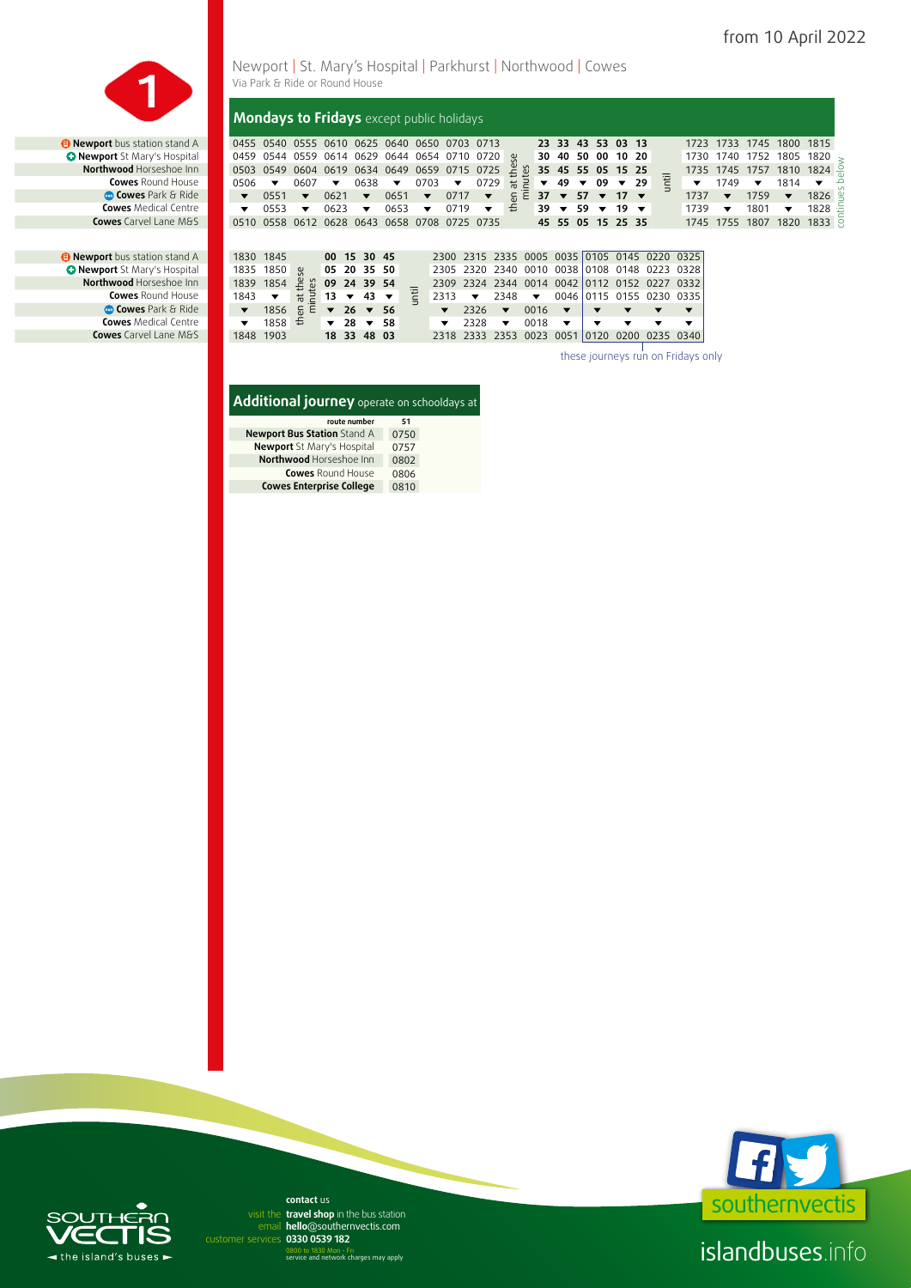

**D** Newport bus station stand A 1830 1845<br> **C** Newport St Mary's Hospital 1835 1850



#### then at these  $\frac{10}{2}$  09 24 39 54<br>
13  $\sqrt{43}$   $\sqrt{11}$ <br>  $\sqrt{26}$   $\sqrt{56}$ **00 15 30 45** 2300 2315 2335 0005 0035 0105 0145 0220 0325  **Newport** St Mary's Hospital 1835 1850 **05 20 35 50** 2305 2320 2340 0010 0038 0108 0148 0223 0328 **Northwood** Horseshoe Inn 1839 1854 **09 24 39 54** 2309 2324 2344 0014 0042 0112 0152 0227 0332 **Cowes** Round House 1843 ▼ He 2 13 ▼ 43 ▼ E 2313 ▼ 2348 ▼ 0046 0115 0155 0230 0335  **Cowes** Park & Ride | ▼ 1856 **26 ▼ 266 7 2326 ▼** 0016 **Cowes** Medical Centre 1858  $\neq$  28  $\neq$  58  $\neq$  2328  $\neq$  0018 **Cowes** Carvel Lane M&S 1848 1903 **18 33 48 03** 2318 2333 2353 0023 0051 0120 0200 0235 0340 **Mondays to Fridays** except public holidays **a Newport** bus station stand A 0455 0540 0555 0610 0625 0640 0650 0703 0713<br> **C Newport** St Mary's Hospital 0459 0544 0559 0614 0629 0644 0654 0710 0720 then at these  $\frac{30}{2}$  35 45 55 05 15 25<br>  $\frac{1}{2}$   $\sqrt{49}$   $\sqrt{09}$   $\sqrt{29}$   $\frac{1}{2}$ <br>  $\frac{1}{2}$ <br>  $\frac{1}{2}$  37  $\sqrt{57}$   $\sqrt{17}$ **23 33 43 53 03 13** 1723 1733 1745 1800 1815  **Newport** St Mary's Hospital 0459 0544 0559 0614 0629 0644 0654 0710 0720 **30 40 50 00 10 20** 1730 1740 1752 1805 1820 **Northwood** Horseshoe Inn 0503 0549 0604 0619 0634 0649 0659 0715 0725 **35 45 55 05 15 25** 1735 1745 1757 1810 1824 Cowes Round House **1** 0506 ▼ 0607 ▼ 0638 ▼ 0703 ▼ 0729  $\frac{1}{R}$  **2 × 09 × 29**  $\frac{1}{C}$  **▼** 1749 ▼ 1814  **Cowes** Park & Ride **1 v** 0551 **v** 0621 **v** 0651 **v** 0717 **v**  $\frac{1}{6}$  **E 37 v 57 v 17 v** <sup>-</sup> 1737 **v** 1759 **v** 1826 Cowes Medical Centre Months **v** 0553 v 0623 v 0653 v 0719 v  $\frac{4}{\pi}$  39 v 59 v 19 v 1739 v 1801 v 1828 Cowes Round Horseshoe Inn Cowes Round House<br>
Cowes Rark & Ride  $\sqrt{0.0551 + 0.0551 + 0.0551 + 0.0551 + 0.0551 + 0.0551 + 0.0551 + 0.0551 + 0.0551 + 0.0551 + 0.0551 + 0.0551 + 0.0551 + 0.0551 + 0.0551 + 0.0551 + 0.0551 + 0.0551 + 0.0551 + 0.0$ continues below

these journeys run on Fridays only

| <b>Additional journey</b> operate on schooldays at |      |  |
|----------------------------------------------------|------|--|
| route number                                       | 51   |  |
| Newport Bus Station Stand A                        | 0750 |  |

| <b>NEWPOLL DUS SLATION STATION A</b> | UZ VU |
|--------------------------------------|-------|
| Newport St Mary's Hospital           | 0757  |
| Northwood Horseshoe Inn              | 0802  |
| <b>Cowes</b> Round House             | 0806  |
| <b>Cowes Enterprise College</b>      | 0810  |



islandbuses.info

## $\blacksquare$  $\blacktriangleleft$  the island's buses  $\blacktriangleright$

email hello@southernvectis.com **0330 0539 182** customer services **contact** us visit the travel shop in the bus station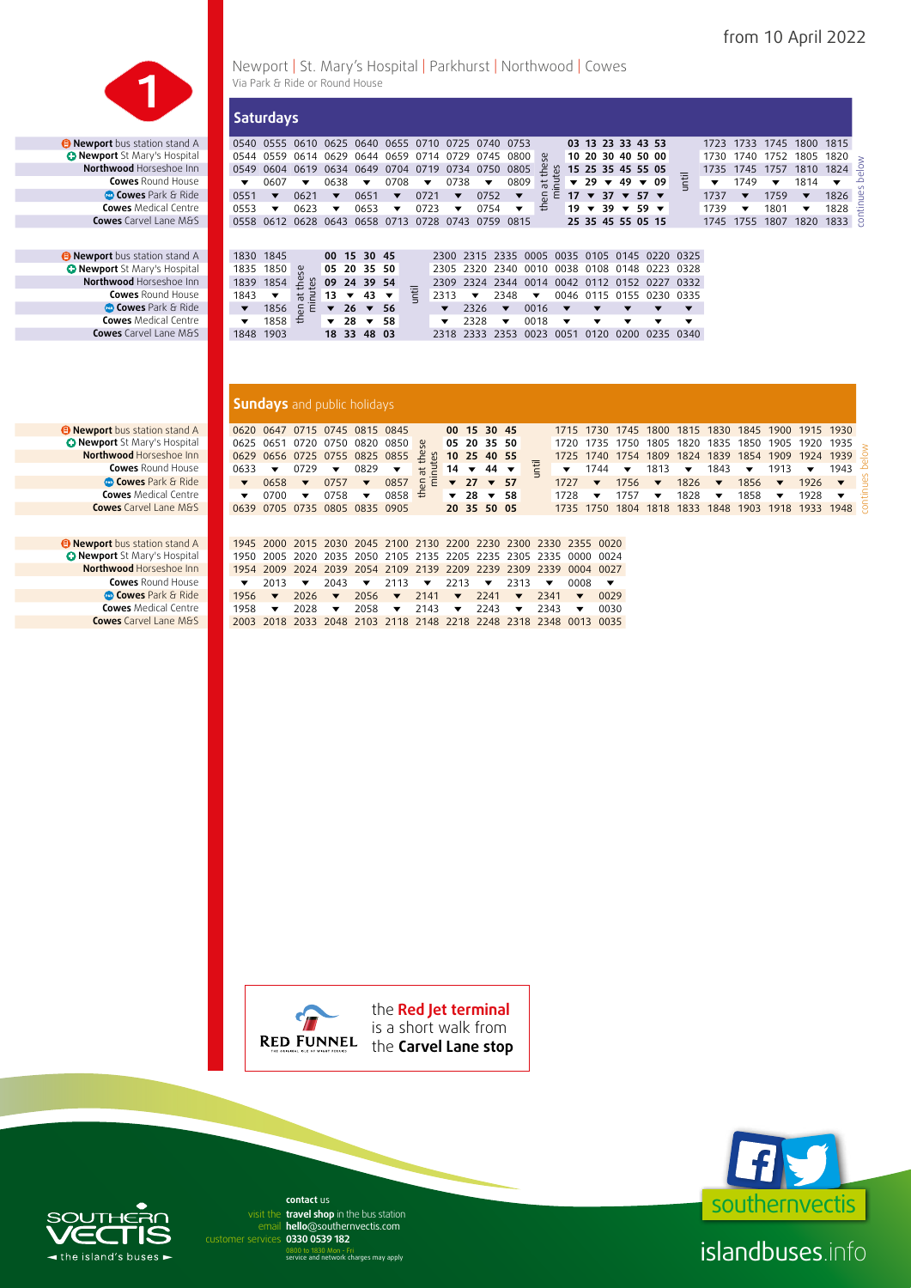

*D* Newport bus station stand A *<u> O Newport Stations</u>* Stations and A **Northwood** Horseshoe Inn **Cowes** Round House **Cowes** Park & Ride **Cowes** Medical Centre **Cowes** Carvel Lane M&S

*Newport bus station stand A O* Newport St Mary's Hospital **Northwood** Horseshoe Inn **Cowes** Round House **COWES** Park & Ride **Cowes** Medical Centre **Cowes** Carvel Lane M&S

> *B* Newport bus station stand A *<u>O Newport St Mary's Hospital</u>* **Northwood Horseshoe Inn Cowes** Round House **<sup>8</sup> Cowes** Park & Ride **Cowes** Medical Centre **Cowes** Carvel Lane M&S

> *Newport bus station stand A O* Newport St Mary's Hospital **Northwood** Horseshoe Inn **Cowes** Round House **Cowes** Park & Ride **Cowes** Medical Centre **Cowes** Carvel Lane M&S

Newport | St. Mary's Hospital | Parkhurst | Northwood | Cowes Via Park & Ride or Round House

| <b>Saturdays</b>         |                         |                                                   |                         |                        |                          |                          |                      |                          |                                              |                          |               |                              |                                 |              |      |                          |      |                         |                |                          |      |         |
|--------------------------|-------------------------|---------------------------------------------------|-------------------------|------------------------|--------------------------|--------------------------|----------------------|--------------------------|----------------------------------------------|--------------------------|---------------|------------------------------|---------------------------------|--------------|------|--------------------------|------|-------------------------|----------------|--------------------------|------|---------|
|                          |                         | 0540 0555 0610 0625 0640 0655 0710 0725 0740 0753 |                         |                        |                          |                          |                      |                          |                                              |                          |               |                              | 03 13 23 33 43 53               |              |      |                          |      |                         |                | 1723 1733 1745 1800 1815 |      |         |
|                          |                         | 0544 0559 0614 0629 0644 0659 0714 0729 0745 0800 |                         |                        |                          |                          |                      |                          |                                              | ္တမ                      |               |                              | 10 20 30 40 50 00               |              |      |                          |      |                         | 1730 1740 1752 | 1805                     | 1820 |         |
| 0549                     |                         | 0604 0619 0634 0649 0704 0719 0734 0750           |                         |                        |                          |                          |                      |                          | 0805                                         |                          | es            |                              | 15 25 35 45 55 05               |              |      |                          |      | 1735 1745 1757          |                | 1810                     | 1824 | elow    |
|                          | 0607                    | $\overline{\phantom{a}}$                          | 0638                    | ▼                      | 0708                     | $\overline{\phantom{a}}$ | 0738                 | $\overline{\phantom{a}}$ | 0809                                         | $\overline{a}$           | $\frac{1}{2}$ | $\mathbf{v}$ 29 $\mathbf{v}$ | 49                              | $\sqrt{0.9}$ |      | Έ                        | ▼    | 1749                    | ▼              | 1814                     | ▼    | Ō       |
| 0551                     | $\overline{\mathbf{v}}$ | 0621                                              | $\overline{\mathbf{v}}$ | 0651                   | $\overline{\phantom{a}}$ | 0721                     | $\blacktriangledown$ | 0752                     | $\overline{\mathbf{v}}$                      | 5                        | Έ             |                              | $17 \times 37 \times 57 \times$ |              |      |                          | 1737 | $\overline{\mathbf{v}}$ | 1759           | $\overline{\mathbf{v}}$  | 1826 | ntinues |
| 0553                     | ▼                       | 0623                                              | ▼                       | 0653                   | $\overline{\mathbf{v}}$  | 0723                     | ▼                    | 0754                     | $\overline{\mathbf{v}}$                      | €                        |               |                              | $19 \times 39 \times 59 \times$ |              |      |                          | 1739 | ▼                       | 1801           | ▼                        | 1828 |         |
|                          |                         | 0558 0612 0628 0643 0658 0713 0728 0743           |                         |                        |                          |                          |                      |                          | 0759 0815                                    |                          |               |                              | 25 35 45 55 05 15               |              |      |                          |      | 1745 1755               | 1807           | 1820                     | 1833 | -ē      |
| 1830 1845                |                         |                                                   |                         | 00 15 30 45            |                          |                          |                      |                          | 2300 2315 2335 0005 0035 0105 0145 0220 0325 |                          |               |                              |                                 |              |      |                          |      |                         |                |                          |      |         |
|                          |                         |                                                   |                         |                        |                          |                          |                      |                          |                                              |                          |               |                              |                                 |              |      |                          |      |                         |                |                          |      |         |
| 1835 1850                |                         | Se                                                |                         | 05 20 35 50            |                          |                          |                      |                          | 2305 2320 2340 0010 0038 0108 0148 0223 0328 |                          |               |                              |                                 |              |      |                          |      |                         |                |                          |      |         |
| 1839 1854                |                         | te s                                              |                         | 09 24 39 54            |                          |                          |                      |                          | 2309 2324 2344 0014 0042 0112 0152 0227      |                          |               |                              |                                 |              |      | 0332                     |      |                         |                |                          |      |         |
| 1843                     | ▼                       | $\frac{1}{6}$ $\frac{1}{6}$                       | 13 $\blacktriangledown$ | 43                     | ▼                        | <b>Iii</b>               | 2313                 | $\overline{\phantom{a}}$ | 2348                                         | $\overline{\phantom{a}}$ |               |                              |                                 |              |      | 0046 0115 0155 0230 0335 |      |                         |                |                          |      |         |
| $\overline{\phantom{a}}$ | 1856                    | $rac{1}{2}$                                       |                         | $\sqrt{26}$ $\sqrt{2}$ | 56                       |                          | $\blacktriangledown$ | 2326                     | $\overline{\mathbf{v}}$                      | 0016                     | ▼             | ▼                            |                                 |              |      | ▼                        |      |                         |                |                          |      |         |
|                          | 1858                    | €                                                 | $\sqrt{28}$             | ▼                      | 58                       |                          | ▼                    | 2328                     | $\overline{\phantom{a}}$                     | 0018                     | ▼             | ▼                            | ▼                               |              | ▼    | ▼                        |      |                         |                |                          |      |         |
| 1848 1903                |                         |                                                   |                         | 18 33 48               | 03                       |                          |                      |                          | 2318 2333 2353 0023                          |                          | 0051          | 0120                         | 0200                            |              | 0235 | 0340                     |      |                         |                |                          |      |         |
|                          |                         |                                                   |                         |                        |                          |                          |                      |                          |                                              |                          |               |                              |                                 |              |      |                          |      |                         |                |                          |      |         |

#### **Sundays** and public holidays

|  |                                                |                             | 0620 0647 0715 0745 0815 0845 00 15 30 45                                                   |  |  |  |                                 |  |  |                                                     | 1715 1730 1745 1800 1815 1830 1845 1900 1915 1930                                                                                 |  |
|--|------------------------------------------------|-----------------------------|---------------------------------------------------------------------------------------------|--|--|--|---------------------------------|--|--|-----------------------------------------------------|-----------------------------------------------------------------------------------------------------------------------------------|--|
|  |                                                |                             | 0625 0651 0720 0750 0820 0850 <b>g 05 20 35 50</b>                                          |  |  |  |                                 |  |  |                                                     | 1720 1735 1750 1805 1820 1835 1850 1905 1920 1935                                                                                 |  |
|  |                                                |                             | 0629 0656 0725 0755 0825 0855 $\frac{6}{5}$ \$ 10 25 40 55                                  |  |  |  |                                 |  |  |                                                     | 1725 1740 1754 1809 1824 1839 1854 1909 1924 1939                                                                                 |  |
|  |                                                |                             | 0633 $\sqrt{ }$ 0729 $\sqrt{ }$ 0829 $\sqrt{ }$ $\frac{1}{6}$ 2 14 $\sqrt{ }$ 44 $\sqrt{ }$ |  |  |  |                                 |  |  |                                                     | $\bullet$ 1744 $\bullet$ 1813 $\bullet$ 1843 $\bullet$ 1913 $\bullet$ 1943                                                        |  |
|  |                                                |                             | ▼ 0658 ▼ 0757 ▼ 0857 $\frac{1}{6}$ $\frac{1}{6}$ ▼ 27 ▼ 57                                  |  |  |  |                                 |  |  |                                                     | 1727 $\blacktriangledown$ 1756 $\blacktriangledown$ 1826 $\blacktriangledown$ 1856 $\blacktriangledown$ 1926 $\blacktriangledown$ |  |
|  | $\blacktriangledown$ 0700 $\blacktriangledown$ | $0758$ $\blacktriangledown$ | $0858 \div 28 \times 58$                                                                    |  |  |  | $1728$ $\bullet$ 1757 $\bullet$ |  |  | 1828 $\blacktriangledown$ 1858 $\blacktriangledown$ | 1928 $\blacktriangledown$                                                                                                         |  |
|  |                                                |                             | 0639 0705 0735 0805 0835 0905 20 35 50 05                                                   |  |  |  |                                 |  |  |                                                     | 1735 1750 1804 1818 1833 1848 1903 1918 1933 1948                                                                                 |  |

|  | 1945 2000 2015 2030 2045 2100 2130 2200 2230 2300 2330 2355 0020                                                                                                 |  |  |  |  |  |
|--|------------------------------------------------------------------------------------------------------------------------------------------------------------------|--|--|--|--|--|
|  | 1950 2005 2020 2035 2050 2105 2135 2205 2235 2305 2335 0000 0024                                                                                                 |  |  |  |  |  |
|  | 1954 2009 2024 2039 2054 2109 2139 2209 2239 2309 2339 0004 0027                                                                                                 |  |  |  |  |  |
|  | $\bullet$ 2013 $\bullet$ 2043 $\bullet$ 2113 $\bullet$ 2213 $\bullet$ 2313 $\bullet$ 0008 $\bullet$                                                              |  |  |  |  |  |
|  |                                                                                                                                                                  |  |  |  |  |  |
|  | 1956 $\blacktriangledown$ 2026 $\blacktriangledown$ 2056 $\blacktriangledown$ 2141 $\blacktriangledown$ 2241 $\blacktriangledown$ 2341 $\blacktriangledown$ 0029 |  |  |  |  |  |
|  | 1958 $\blacktriangledown$ 2028 $\blacktriangledown$ 2058 $\blacktriangledown$ 2143 $\blacktriangledown$ 2243 $\blacktriangledown$ 2343 $\blacktriangledown$ 0030 |  |  |  |  |  |





islandbuses.info

# $\blacktriangleleft$  the island's buses  $\blacktriangleright$

email hello@southernvectis.com **contact** us visit the travel shop in the bus station

**0330 0539 182** customer services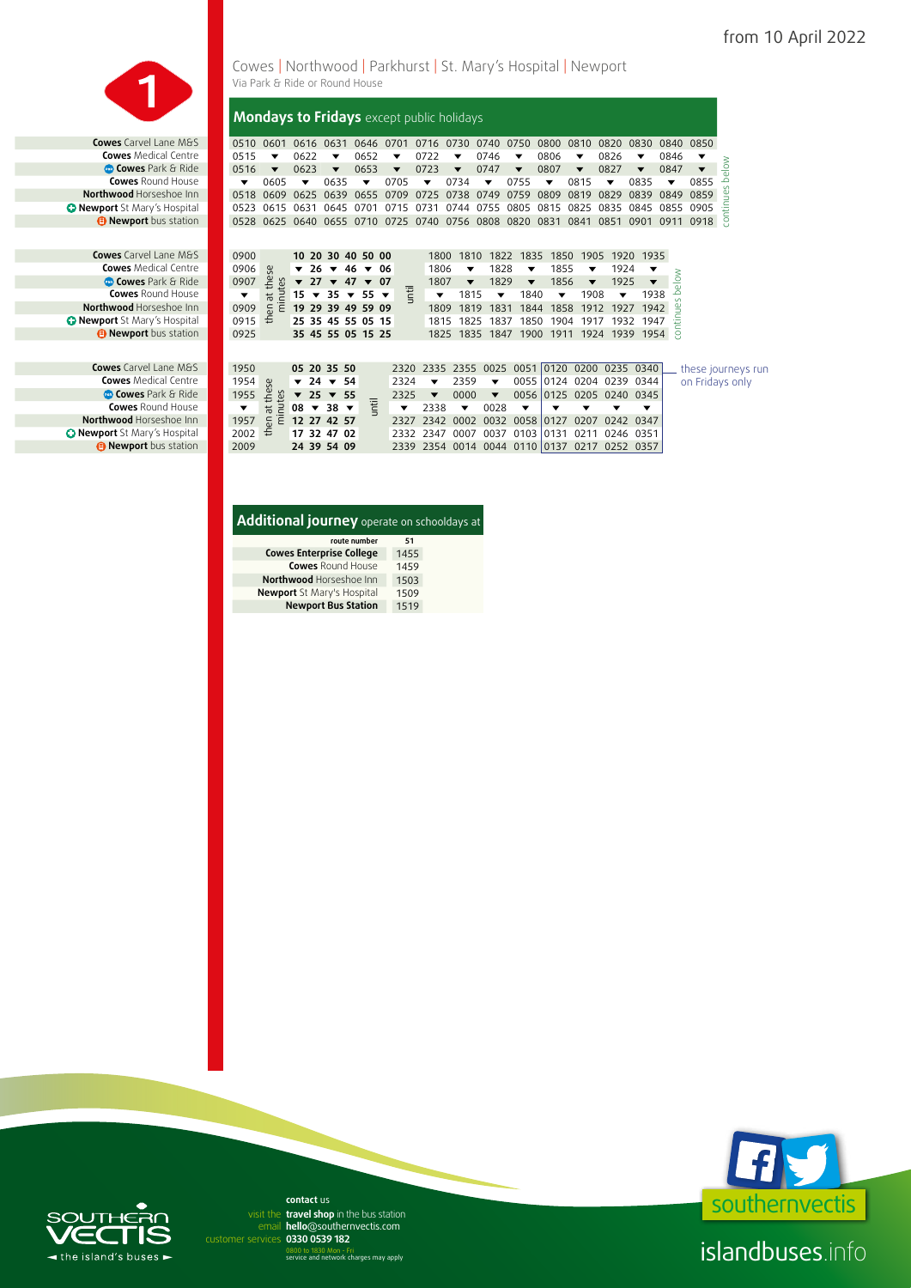

**Cowes** Carvel Lane M&S **Cowes** Medical Centre **<sup>83</sup> Cowes** Park & Ride **Comes Cowes** Round House **Northwood Horseshoe Inn** *O* Newport St Mary's Hospital *B* Newport bus station

**Cowes** Carvel Lane M&S **Cowes** Medical Centre **Cowes** Park & Ride **Cowes** Round House **Northwood** Horseshoe Inn *<u>D* Newport St Mary's Hospital</u> **9 Newport** bus station

**Cowes** Carvel Lane M&S **Cowes** Medical Centre **Cowes** Park & Ride **Cowes** Round House **Northwood** Horseshoe Inn *O* Newport St Mary's Hospital *B* Newport bus station

Cowes | Northwood | Parkhurst | St. Mary's Hospital | Newport Via Park & Ride or Round House

**Mondays to Fridays** except public holidays

| 0510                     | 0601                      |                         | 0616 0631                           |                          | 0646 0701 |                          |                          | 0716 0730 0740 0750                               |                          |                         |                         |                          | 0800           |      | 0810                     | 0820                                    | 0830                     |                              | 0840         | 0850               |
|--------------------------|---------------------------|-------------------------|-------------------------------------|--------------------------|-----------|--------------------------|--------------------------|---------------------------------------------------|--------------------------|-------------------------|-------------------------|--------------------------|----------------|------|--------------------------|-----------------------------------------|--------------------------|------------------------------|--------------|--------------------|
| 0515                     | ▼                         | 0622                    | ▼                                   |                          | 0652      |                          | ▼                        | 0722                                              | ▼                        |                         | 0746                    | ▼                        | 0806           |      | ▼                        | 0826                                    | ▼                        |                              | 0846         | ▼                  |
| 0516                     | $\overline{\mathbf{v}}$   | 0623                    | $\overline{\phantom{a}}$            |                          | 0653      |                          | $\blacktriangledown$     | 0723                                              | $\overline{\phantom{a}}$ |                         | 0747                    | $\overline{\mathbf{v}}$  | 0807           |      | $\overline{\mathbf{v}}$  | 0827                                    | $\overline{\phantom{a}}$ |                              | 0847         | ▼                  |
| $\overline{\phantom{a}}$ | 0605                      | ▼                       | 0635                                |                          | ▼         |                          | 0705                     | ▼                                                 | 0734                     |                         | ▼                       | 0755                     | ▼              |      | 0815                     | ▼                                       | 0835                     |                              | ▼            | 0855               |
| 0518                     | 0609                      | 0625                    | 0639                                |                          | 0655 0709 |                          |                          | 0725                                              | 0738                     |                         | 0749                    | 0759                     | 0809           |      | 0819                     | 0829                                    | 0839                     |                              | 0849         | 0859               |
| 0523                     | 0615                      | 0631                    | 0645                                |                          | 0701      |                          | 0715                     | 0731                                              | 0744                     |                         | 0755                    | 0805                     | 0815           |      | 0825                     | 0835                                    | 0845                     |                              | 0855         | 0905               |
|                          | 0528 0625 0640            |                         |                                     |                          |           |                          |                          | 0655 0710 0725 0740 0756 0808 0820 0831 0841 0851 |                          |                         |                         |                          |                |      |                          |                                         |                          |                              |              | 0901 0911 0918     |
|                          |                           |                         |                                     |                          |           |                          |                          |                                                   |                          |                         |                         |                          |                |      |                          |                                         |                          |                              |              |                    |
|                          |                           |                         |                                     |                          |           |                          |                          |                                                   |                          |                         |                         |                          |                |      |                          |                                         |                          |                              |              |                    |
| 0900                     |                           |                         | 10 20 30 40 50 00                   |                          |           |                          |                          | 1800                                              |                          | 1810                    |                         | 1822 1835                |                | 1850 | 1905                     | 1920                                    |                          | 1935                         |              |                    |
| 0906                     |                           | $\overline{\mathbf{v}}$ | $26 \times 46 \times 06$            |                          |           |                          |                          | 1806                                              |                          | ▼                       | 1828                    | ▼                        |                | 1855 | ▼                        | 1924                                    |                          | ▼<br>$\overline{\mathbf{v}}$ | elow         |                    |
| 0907                     | nen at these<br>minutes   |                         | $\sqrt{27}$ $\sqrt{47}$ $\sqrt{07}$ |                          |           |                          | until                    | 1807                                              |                          | $\blacktriangledown$    | 1829                    | $\overline{\phantom{a}}$ |                | 1856 | $\overline{\phantom{a}}$ | 1925                                    |                          | 1938                         | مَ           |                    |
| ▼                        |                           |                         | $15 \times 35 \times 55$            |                          |           | $\overline{\phantom{a}}$ |                          | ▼                                                 |                          | 1815                    | ▼<br>1831               | 1840<br>1844             |                | ▼    | 1908<br>1912             | ▼                                       |                          | 1942                         | $\sim$       |                    |
| 0909                     | £                         |                         | 19 29 39 49 59 09                   |                          |           |                          |                          | 1809                                              |                          | 1819                    |                         |                          |                | 1858 |                          | 1927                                    |                          | 1947                         | $\mathbf{g}$ |                    |
| 0915                     |                           |                         | 25 35 45 55 05 15                   |                          |           |                          |                          | 1815                                              |                          | 1825                    | 1837                    |                          |                |      | 1850 1904 1917           | 1932                                    |                          |                              | continu      |                    |
| 0925                     |                           |                         | 35 45 55 05 15 25                   |                          |           |                          |                          |                                                   |                          |                         |                         |                          |                |      |                          | 1825 1835 1847 1900 1911 1924 1939 1954 |                          |                              |              |                    |
|                          |                           |                         |                                     |                          |           |                          |                          |                                                   |                          |                         |                         |                          |                |      |                          |                                         |                          |                              |              |                    |
| 1950                     |                           |                         | 05 20 35 50                         |                          |           |                          |                          | 2320 2335 2355 0025                               |                          |                         |                         | 0051                     | $ 0120\rangle$ |      | 0200                     | 0235 0340                               |                          |                              |              | these journeys run |
| 1954                     | ςe                        |                         | $\sqrt{24}$ $\sqrt{54}$             |                          |           |                          | 2324                     | ▼                                                 |                          | 2359                    | ▼                       | 0055                     |                |      | 0124 0204                | 0239 0344                               |                          |                              |              | on Fridays only    |
| 1955                     |                           | $\overline{\mathbf{v}}$ | $25 \times 55$                      |                          |           |                          | 2325                     | $\blacktriangledown$                              |                          | 0000                    | $\overline{\mathbf{v}}$ | 0056                     | 0125           |      | 0205                     | 0240 0345                               |                          |                              |              |                    |
| $\blacktriangledown$     | at thes<br>$\overline{a}$ |                         | $08 \times 38$                      | $\overline{\phantom{a}}$ | until     |                          | $\overline{\phantom{a}}$ | 2338                                              |                          | $\overline{\mathbf{v}}$ | 0028                    | $\overline{\phantom{a}}$ | ▼              |      |                          | ▼                                       | ▼                        |                              |              |                    |
| 1957                     | $\overline{6}$<br>Έ       |                         | 12 27 42 57                         |                          |           |                          | 2327                     | 2342                                              |                          | 0002                    |                         | 0032 0058                | 0127           |      | 0207                     | 0242                                    | 0347                     |                              |              |                    |
| 2002                     | £                         |                         | 17 32 47 02                         |                          |           |                          | 2332                     | 2347                                              |                          | 0007                    | 0037 0103               |                          | 0131           |      | 0211                     | 0246 0351                               |                          |                              |              |                    |
| 2009                     |                           |                         | 24 39 54 09                         |                          |           |                          |                          | 2339 2354 0014 0044 0110 0137                     |                          |                         |                         |                          |                |      | 0217                     |                                         | 0252 0357                |                              |              |                    |

### **Additional journey** operate on schooldays at

| route number                    | 51   |
|---------------------------------|------|
| <b>Cowes Enterprise College</b> | 1455 |
| <b>Cowes Round House</b>        | 1459 |
| Northwood Horseshoe Inn         | 1503 |
| Newport St Mary's Hospital      | 1509 |
| <b>Newport Bus Station</b>      | 1519 |



## islandbuses.info



email hello@southernvectis.com **0330 0539 182** customer services **contact** us visit the travel shop in the bus station